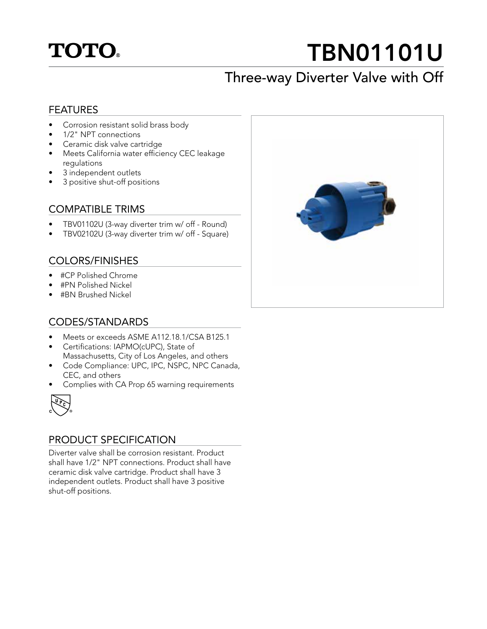## **TOTO**

# TBN01101U

## Three-way Diverter Valve with Off

#### FEATURES

- Corrosion resistant solid brass body
- 1/2" NPT connections
- Ceramic disk valve cartridge
- Meets California water efficiency CEC leakage regulations
- 3 independent outlets
- 3 positive shut-off positions

#### COMPATIBLE TRIMS

- TBV01102U (3-way diverter trim w/ off Round)
- TBV02102U (3-way diverter trim w/ off Square)

#### COLORS/FINISHES

- #CP Polished Chrome
- #PN Polished Nickel
- #BN Brushed Nickel

#### CODES/STANDARDS

- Meets or exceeds ASME A112.18.1/CSA B125.1
- Certifications: IAPMO(cUPC), State of Massachusetts, City of Los Angeles, and others
- Code Compliance: UPC, IPC, NSPC, NPC Canada, CEC, and others
- Complies with CA Prop 65 warning requirements



#### PRODUCT SPECIFICATION

Diverter valve shall be corrosion resistant. Product shall have 1/2" NPT connections. Product shall have ceramic disk valve cartridge. Product shall have 3 independent outlets. Product shall have 3 positive shut-off positions.